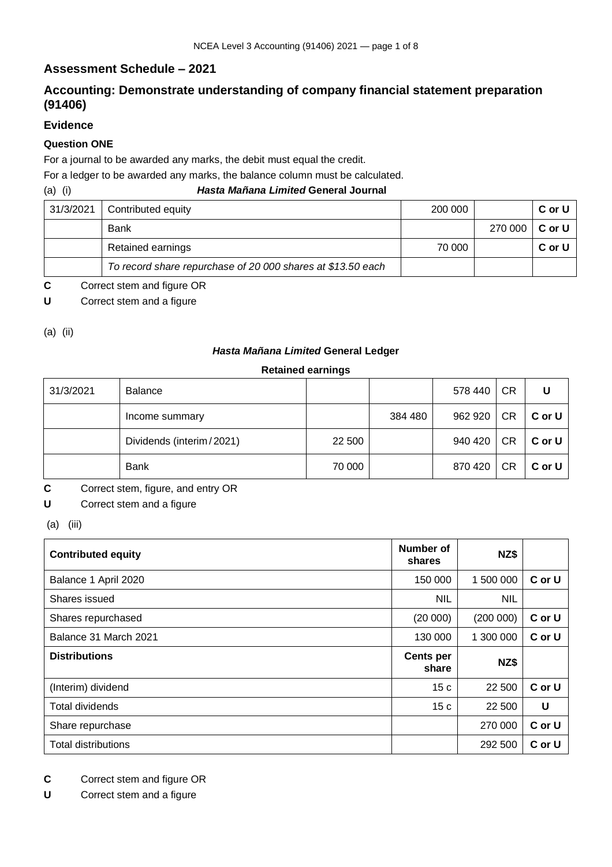## **Assessment Schedule – 2021**

# **Accounting: Demonstrate understanding of company financial statement preparation (91406)**

### **Evidence**

### **Question ONE**

For a journal to be awarded any marks, the debit must equal the credit.

For a ledger to be awarded any marks, the balance column must be calculated.

#### (a) (i) *Hasta Mañana Limited* **General Journal**

| 31/3/2021 | Contributed equity                                          | 200 000 |         | C or U   |
|-----------|-------------------------------------------------------------|---------|---------|----------|
|           | Bank                                                        |         | 270 000 | ∣ C or U |
|           | Retained earnings                                           | 70 000  |         | C or U   |
|           | To record share repurchase of 20 000 shares at \$13.50 each |         |         |          |

**C** Correct stem and figure OR

**U** Correct stem and a figure

(a) (ii)

#### *Hasta Mañana Limited* **General Ledger**

#### **Retained earnings**

| 31/3/2021 | <b>Balance</b>           |        |         | 578 440 | <b>CR</b> | U      |
|-----------|--------------------------|--------|---------|---------|-----------|--------|
|           | Income summary           |        | 384 480 | 962 920 | CR        | C or U |
|           | Dividends (interim/2021) | 22 500 |         | 940 420 | CR        | C or U |
|           | <b>Bank</b>              | 70 000 |         | 870 420 | <b>CR</b> | C or U |

- **C** Correct stem, figure, and entry OR
- **U** Correct stem and a figure
- (a) (iii)

| <b>Contributed equity</b>  | Number of<br>shares       | NZ\$       |        |
|----------------------------|---------------------------|------------|--------|
| Balance 1 April 2020       | 150 000                   | 1 500 000  | C or U |
| Shares issued              | <b>NIL</b>                | <b>NIL</b> |        |
| Shares repurchased         | (20000)                   | (200 000)  | C or U |
| Balance 31 March 2021      | 130 000                   | 1 300 000  | C or U |
| <b>Distributions</b>       | <b>Cents per</b><br>share | NZ\$       |        |
| (Interim) dividend         | 15c                       | 22 500     | C or U |
| <b>Total dividends</b>     | 15 <sub>c</sub>           | 22 500     | U      |
| Share repurchase           |                           | 270 000    | C or U |
| <b>Total distributions</b> |                           | 292 500    | C or U |

**C** Correct stem and figure OR

**U** Correct stem and a figure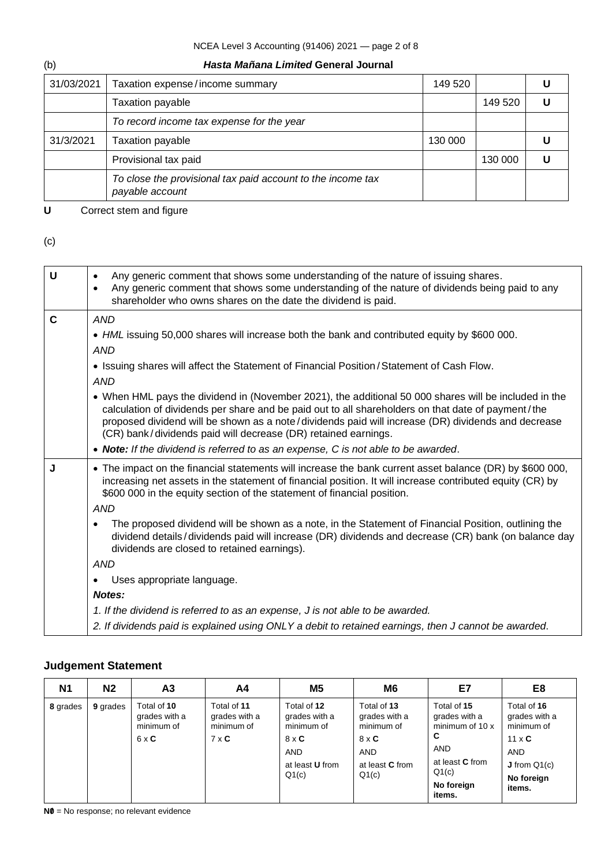## NCEA Level 3 Accounting (91406) 2021 — page 2 of 8

### (b) *Hasta Mañana Limited* **General Journal**

| 31/03/2021 | Taxation expense/income summary                                                | 149 520 |         |  |
|------------|--------------------------------------------------------------------------------|---------|---------|--|
|            | <b>Taxation payable</b>                                                        |         | 149 520 |  |
|            | To record income tax expense for the year                                      |         |         |  |
| 31/3/2021  | <b>Taxation payable</b>                                                        | 130 000 |         |  |
|            | Provisional tax paid                                                           |         | 130 000 |  |
|            | To close the provisional tax paid account to the income tax<br>payable account |         |         |  |

**U** Correct stem and figure

#### (c)

| U            | Any generic comment that shows some understanding of the nature of issuing shares.<br>$\bullet$<br>Any generic comment that shows some understanding of the nature of dividends being paid to any<br>$\bullet$<br>shareholder who owns shares on the date the dividend is paid.                                                                                                     |  |  |  |  |  |
|--------------|-------------------------------------------------------------------------------------------------------------------------------------------------------------------------------------------------------------------------------------------------------------------------------------------------------------------------------------------------------------------------------------|--|--|--|--|--|
| $\mathbf{C}$ | <b>AND</b>                                                                                                                                                                                                                                                                                                                                                                          |  |  |  |  |  |
|              | • HML issuing 50,000 shares will increase both the bank and contributed equity by \$600 000.                                                                                                                                                                                                                                                                                        |  |  |  |  |  |
|              | <b>AND</b>                                                                                                                                                                                                                                                                                                                                                                          |  |  |  |  |  |
|              | • Issuing shares will affect the Statement of Financial Position/Statement of Cash Flow.                                                                                                                                                                                                                                                                                            |  |  |  |  |  |
|              | <b>AND</b>                                                                                                                                                                                                                                                                                                                                                                          |  |  |  |  |  |
|              | • When HML pays the dividend in (November 2021), the additional 50 000 shares will be included in the<br>calculation of dividends per share and be paid out to all shareholders on that date of payment/the<br>proposed dividend will be shown as a note/dividends paid will increase (DR) dividends and decrease<br>(CR) bank/dividends paid will decrease (DR) retained earnings. |  |  |  |  |  |
|              | • Note: If the dividend is referred to as an expense, C is not able to be awarded.                                                                                                                                                                                                                                                                                                  |  |  |  |  |  |
| J            | • The impact on the financial statements will increase the bank current asset balance (DR) by \$600 000,<br>increasing net assets in the statement of financial position. It will increase contributed equity (CR) by<br>\$600 000 in the equity section of the statement of financial position.                                                                                    |  |  |  |  |  |
|              | <b>AND</b>                                                                                                                                                                                                                                                                                                                                                                          |  |  |  |  |  |
|              | The proposed dividend will be shown as a note, in the Statement of Financial Position, outlining the<br>dividend details/dividends paid will increase (DR) dividends and decrease (CR) bank (on balance day<br>dividends are closed to retained earnings).                                                                                                                          |  |  |  |  |  |
|              | <b>AND</b>                                                                                                                                                                                                                                                                                                                                                                          |  |  |  |  |  |
|              | Uses appropriate language.<br>$\bullet$                                                                                                                                                                                                                                                                                                                                             |  |  |  |  |  |
|              | Notes:                                                                                                                                                                                                                                                                                                                                                                              |  |  |  |  |  |
|              | 1. If the dividend is referred to as an expense, J is not able to be awarded.                                                                                                                                                                                                                                                                                                       |  |  |  |  |  |
|              | 2. If dividends paid is explained using ONLY a debit to retained earnings, then J cannot be awarded.                                                                                                                                                                                                                                                                                |  |  |  |  |  |

# **Judgement Statement**

| N1       | N <sub>2</sub> | A3                                                         | A4                                                         | M <sub>5</sub>                                                                                              | M <sub>6</sub>                                                                                              | E7                                                                                                                            | E8                                                                                                                          |
|----------|----------------|------------------------------------------------------------|------------------------------------------------------------|-------------------------------------------------------------------------------------------------------------|-------------------------------------------------------------------------------------------------------------|-------------------------------------------------------------------------------------------------------------------------------|-----------------------------------------------------------------------------------------------------------------------------|
| 8 grades | 9 grades       | Total of 10<br>grades with a<br>minimum of<br>$6 \times C$ | Total of 11<br>grades with a<br>minimum of<br>$7 \times C$ | Total of 12<br>grades with a<br>minimum of<br>$8 \times C$<br><b>AND</b><br>at least <b>U</b> from<br>Q1(c) | Total of 13<br>grades with a<br>minimum of<br>$8 \times C$<br><b>AND</b><br>at least <b>C</b> from<br>Q1(c) | Total of 15<br>grades with a<br>minimum of 10 x<br>C<br><b>AND</b><br>at least <b>C</b> from<br>Q1(c)<br>No foreign<br>items. | Total of 16<br>grades with a<br>minimum of<br>$11 \times C$<br><b>AND</b><br><b>J</b> from $Q_1(c)$<br>No foreign<br>items. |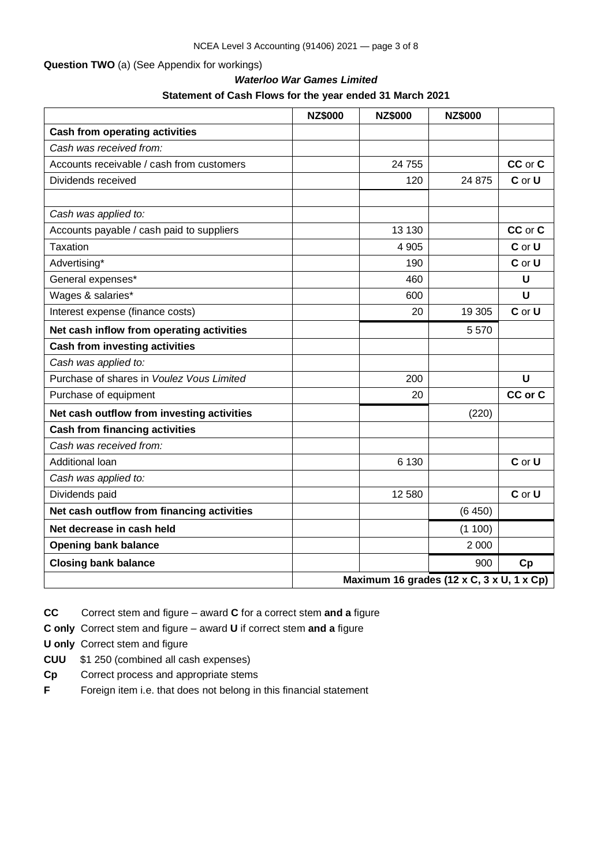#### **Question TWO** (a) (See Appendix for workings)

# *Waterloo War Games Limited* **Statement of Cash Flows for the year ended 31 March 2021**

|                                            | <b>NZ\$000</b> | <b>NZ\$000</b>                            | <b>NZ\$000</b> |             |
|--------------------------------------------|----------------|-------------------------------------------|----------------|-------------|
| <b>Cash from operating activities</b>      |                |                                           |                |             |
| Cash was received from:                    |                |                                           |                |             |
| Accounts receivable / cash from customers  |                | 24 755                                    |                | CC or C     |
| Dividends received                         |                | 120                                       | 24 875         | C or U      |
|                                            |                |                                           |                |             |
| Cash was applied to:                       |                |                                           |                |             |
| Accounts payable / cash paid to suppliers  |                | 13 130                                    |                | CC or C     |
| Taxation                                   |                | 4 9 0 5                                   |                | C or U      |
| Advertising*                               |                | 190                                       |                | C or U      |
| General expenses*                          |                | 460                                       |                | U           |
| Wages & salaries*                          |                | 600                                       |                | $\mathbf U$ |
| Interest expense (finance costs)           |                | 20                                        | 19 305         | C or U      |
| Net cash inflow from operating activities  |                |                                           | 5570           |             |
| <b>Cash from investing activities</b>      |                |                                           |                |             |
| Cash was applied to:                       |                |                                           |                |             |
| Purchase of shares in Voulez Vous Limited  |                | 200                                       |                | U           |
| Purchase of equipment                      |                | 20                                        |                | CC or C     |
| Net cash outflow from investing activities |                |                                           | (220)          |             |
| <b>Cash from financing activities</b>      |                |                                           |                |             |
| Cash was received from:                    |                |                                           |                |             |
| Additional loan                            |                | 6 1 3 0                                   |                | C or U      |
| Cash was applied to:                       |                |                                           |                |             |
| Dividends paid                             |                | 12 580                                    |                | C or U      |
| Net cash outflow from financing activities |                |                                           | (6450)         |             |
| Net decrease in cash held                  |                |                                           | (1100)         |             |
| <b>Opening bank balance</b>                |                |                                           | 2 0 0 0        |             |
| <b>Closing bank balance</b>                |                |                                           | 900            | Cp          |
|                                            |                | Maximum 16 grades (12 x C, 3 x U, 1 x Cp) |                |             |

**CC** Correct stem and figure – award **C** for a correct stem **and a** figure

**C only** Correct stem and figure – award **U** if correct stem **and a** figure

**U only** Correct stem and figure

- **CUU** \$1 250 (combined all cash expenses)
- **Cp** Correct process and appropriate stems
- **F** Foreign item i.e. that does not belong in this financial statement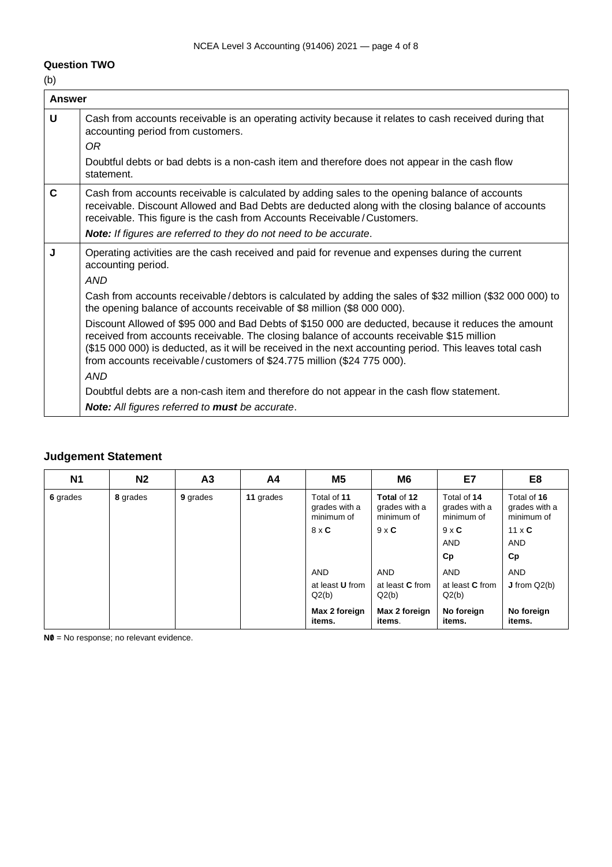## NCEA Level 3 Accounting (91406) 2021 — page 4 of 8

### **Question TWO**

(b)

| <b>Answer</b> |                                                                                                                                                                                                                                                                                                                                                                                                |
|---------------|------------------------------------------------------------------------------------------------------------------------------------------------------------------------------------------------------------------------------------------------------------------------------------------------------------------------------------------------------------------------------------------------|
| U             | Cash from accounts receivable is an operating activity because it relates to cash received during that<br>accounting period from customers.<br>OR                                                                                                                                                                                                                                              |
|               | Doubtful debts or bad debts is a non-cash item and therefore does not appear in the cash flow<br>statement.                                                                                                                                                                                                                                                                                    |
| $\mathbf c$   | Cash from accounts receivable is calculated by adding sales to the opening balance of accounts<br>receivable. Discount Allowed and Bad Debts are deducted along with the closing balance of accounts<br>receivable. This figure is the cash from Accounts Receivable / Customers.                                                                                                              |
|               | Note: If figures are referred to they do not need to be accurate.                                                                                                                                                                                                                                                                                                                              |
| J             | Operating activities are the cash received and paid for revenue and expenses during the current<br>accounting period.<br><b>AND</b>                                                                                                                                                                                                                                                            |
|               | Cash from accounts receivable/debtors is calculated by adding the sales of \$32 million (\$32 000 000) to<br>the opening balance of accounts receivable of \$8 million (\$8 000 000).                                                                                                                                                                                                          |
|               | Discount Allowed of \$95 000 and Bad Debts of \$150 000 are deducted, because it reduces the amount<br>received from accounts receivable. The closing balance of accounts receivable \$15 million<br>(\$15 000 000) is deducted, as it will be received in the next accounting period. This leaves total cash<br>from accounts receivable/customers of \$24.775 million (\$24 775 000).<br>AND |
|               | Doubtful debts are a non-cash item and therefore do not appear in the cash flow statement.                                                                                                                                                                                                                                                                                                     |
|               | Note: All figures referred to must be accurate.                                                                                                                                                                                                                                                                                                                                                |

## **Judgement Statement**

| <b>N1</b> | N <sub>2</sub> | A <sub>3</sub> | A <sub>4</sub> | M5                                         | M6                                         | E7                                         | E <sub>8</sub>                             |
|-----------|----------------|----------------|----------------|--------------------------------------------|--------------------------------------------|--------------------------------------------|--------------------------------------------|
| 6 grades  | 8 grades       | 9 grades       | 11 grades      | Total of 11<br>grades with a<br>minimum of | Total of 12<br>grades with a<br>minimum of | Total of 14<br>grades with a<br>minimum of | Total of 16<br>grades with a<br>minimum of |
|           |                |                |                | $8 \times C$                               | $9 \times C$                               | $9 \times C$                               | $11 \times C$                              |
|           |                |                |                |                                            |                                            | <b>AND</b>                                 | <b>AND</b>                                 |
|           |                |                |                |                                            |                                            | Cp                                         | Cp                                         |
|           |                |                |                | <b>AND</b>                                 | <b>AND</b>                                 | <b>AND</b>                                 | <b>AND</b>                                 |
|           |                |                |                | at least <b>U</b> from<br>Q2(b)            | at least C from<br>Q2(b)                   | at least <b>C</b> from<br>Q2(b)            | $J$ from $Q2(b)$                           |
|           |                |                |                | Max 2 foreign<br>items.                    | Max 2 foreign<br>items.                    | No foreign<br>items.                       | No foreign<br>items.                       |

**N0** = No response; no relevant evidence.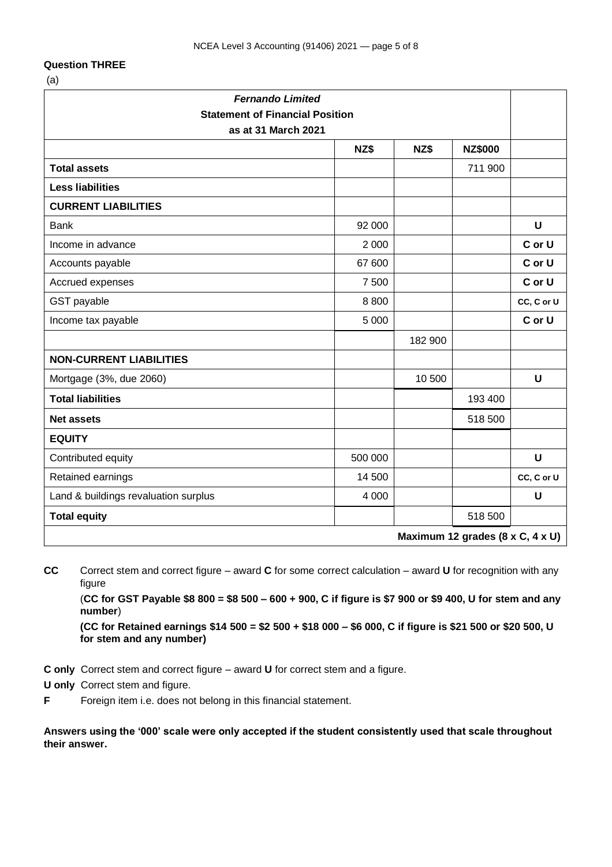#### **Question THREE**

(a)

| <b>Fernando Limited</b><br><b>Statement of Financial Position</b><br>as at 31 March 2021 |         |         |                |             |  |  |
|------------------------------------------------------------------------------------------|---------|---------|----------------|-------------|--|--|
|                                                                                          | NZ\$    | NZ\$    | <b>NZ\$000</b> |             |  |  |
| <b>Total assets</b>                                                                      |         |         | 711 900        |             |  |  |
| <b>Less liabilities</b>                                                                  |         |         |                |             |  |  |
| <b>CURRENT LIABILITIES</b>                                                               |         |         |                |             |  |  |
| <b>Bank</b>                                                                              | 92 000  |         |                | $\mathbf U$ |  |  |
| Income in advance                                                                        | 2 0 0 0 |         |                | C or U      |  |  |
| Accounts payable                                                                         | 67 600  |         |                | C or U      |  |  |
| Accrued expenses                                                                         | 7 500   |         |                | C or U      |  |  |
| GST payable                                                                              | 8 8 0 0 |         |                | CC, C or U  |  |  |
| Income tax payable                                                                       | 5 0 0 0 |         |                | C or U      |  |  |
|                                                                                          |         | 182 900 |                |             |  |  |
| <b>NON-CURRENT LIABILITIES</b>                                                           |         |         |                |             |  |  |
| Mortgage (3%, due 2060)                                                                  |         | 10 500  |                | $\mathbf U$ |  |  |
| <b>Total liabilities</b>                                                                 |         |         | 193 400        |             |  |  |
| <b>Net assets</b>                                                                        |         |         | 518 500        |             |  |  |
| <b>EQUITY</b>                                                                            |         |         |                |             |  |  |
| Contributed equity                                                                       | 500 000 |         |                | $\mathbf U$ |  |  |
| Retained earnings                                                                        | 14 500  |         |                | CC, C or U  |  |  |
| Land & buildings revaluation surplus                                                     | 4 0 0 0 |         |                | U           |  |  |
| <b>Total equity</b>                                                                      |         |         | 518 500        |             |  |  |
| Maximum 12 grades (8 x C, 4 x U)                                                         |         |         |                |             |  |  |

**CC** Correct stem and correct figure – award **C** for some correct calculation – award **U** for recognition with any figure

(**CC for GST Payable \$8 800 = \$8 500 – 600 + 900, C if figure is \$7 900 or \$9 400, U for stem and any number**)

**(CC for Retained earnings \$14 500 = \$2 500 + \$18 000 – \$6 000, C if figure is \$21 500 or \$20 500, U for stem and any number)**

**C only** Correct stem and correct figure – award **U** for correct stem and a figure.

**U only** Correct stem and figure.

**F** Foreign item i.e. does not belong in this financial statement.

**Answers using the '000' scale were only accepted if the student consistently used that scale throughout their answer.**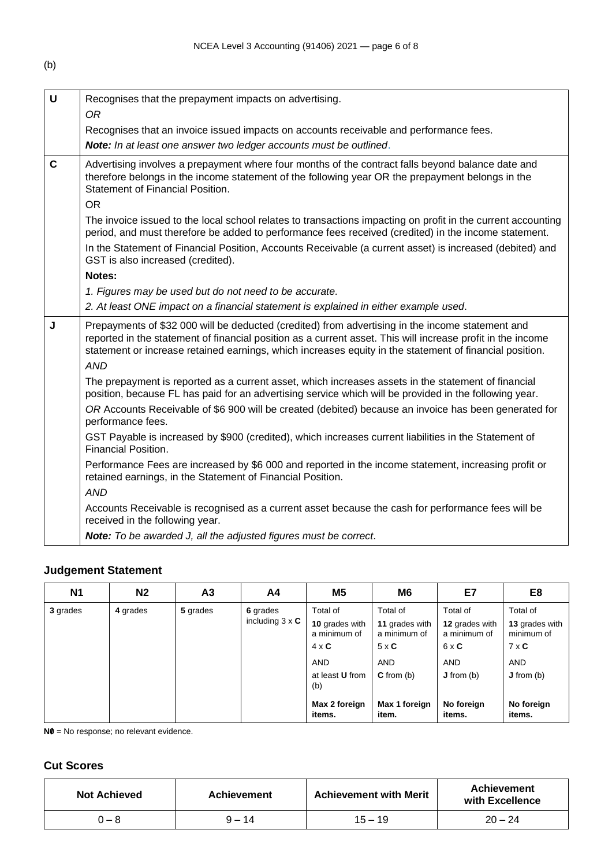(b)

| $\mathbf U$  | Recognises that the prepayment impacts on advertising.                                                                                                                                                                                                                                                                     |
|--------------|----------------------------------------------------------------------------------------------------------------------------------------------------------------------------------------------------------------------------------------------------------------------------------------------------------------------------|
|              | <b>OR</b>                                                                                                                                                                                                                                                                                                                  |
|              | Recognises that an invoice issued impacts on accounts receivable and performance fees.                                                                                                                                                                                                                                     |
|              | Note: In at least one answer two ledger accounts must be outlined.                                                                                                                                                                                                                                                         |
| $\mathbf{C}$ | Advertising involves a prepayment where four months of the contract falls beyond balance date and<br>therefore belongs in the income statement of the following year OR the prepayment belongs in the<br>Statement of Financial Position.                                                                                  |
|              | <b>OR</b>                                                                                                                                                                                                                                                                                                                  |
|              | The invoice issued to the local school relates to transactions impacting on profit in the current accounting<br>period, and must therefore be added to performance fees received (credited) in the income statement.                                                                                                       |
|              | In the Statement of Financial Position, Accounts Receivable (a current asset) is increased (debited) and<br>GST is also increased (credited).                                                                                                                                                                              |
|              | Notes:                                                                                                                                                                                                                                                                                                                     |
|              | 1. Figures may be used but do not need to be accurate.                                                                                                                                                                                                                                                                     |
|              | 2. At least ONE impact on a financial statement is explained in either example used.                                                                                                                                                                                                                                       |
| J            | Prepayments of \$32 000 will be deducted (credited) from advertising in the income statement and<br>reported in the statement of financial position as a current asset. This will increase profit in the income<br>statement or increase retained earnings, which increases equity in the statement of financial position. |
|              | <b>AND</b>                                                                                                                                                                                                                                                                                                                 |
|              | The prepayment is reported as a current asset, which increases assets in the statement of financial<br>position, because FL has paid for an advertising service which will be provided in the following year.                                                                                                              |
|              | OR Accounts Receivable of \$6 900 will be created (debited) because an invoice has been generated for<br>performance fees.                                                                                                                                                                                                 |
|              | GST Payable is increased by \$900 (credited), which increases current liabilities in the Statement of<br>Financial Position.                                                                                                                                                                                               |
|              | Performance Fees are increased by \$6 000 and reported in the income statement, increasing profit or<br>retained earnings, in the Statement of Financial Position.                                                                                                                                                         |
|              | <b>AND</b>                                                                                                                                                                                                                                                                                                                 |
|              | Accounts Receivable is recognised as a current asset because the cash for performance fees will be<br>received in the following year.                                                                                                                                                                                      |
|              | Note: To be awarded J, all the adjusted figures must be correct.                                                                                                                                                                                                                                                           |
|              |                                                                                                                                                                                                                                                                                                                            |

# **Judgement Statement**

| <b>N1</b> | N <sub>2</sub> | A <sub>3</sub> | A4                                 | M <sub>5</sub>                                                                                                                       | M <sub>6</sub>                                                                                                     | E7                                                                                                             | E <sub>8</sub>                                                                                               |
|-----------|----------------|----------------|------------------------------------|--------------------------------------------------------------------------------------------------------------------------------------|--------------------------------------------------------------------------------------------------------------------|----------------------------------------------------------------------------------------------------------------|--------------------------------------------------------------------------------------------------------------|
| 3 grades  | 4 grades       | 5 grades       | 6 grades<br>including $3 \times C$ | Total of<br>10 grades with<br>a minimum of<br>$4 \times C$<br><b>AND</b><br>at least <b>U</b> from<br>(b)<br>Max 2 foreign<br>items. | Total of<br>11 grades with<br>a minimum of<br>$5 \times C$<br><b>AND</b><br>$C$ from (b)<br>Max 1 foreign<br>item. | Total of<br>12 grades with<br>a minimum of<br>$6 \times C$<br><b>AND</b><br>J from (b)<br>No foreign<br>items. | Total of<br>13 grades with<br>minimum of<br>$7 \times C$<br><b>AND</b><br>J from (b)<br>No foreign<br>items. |

**N0** = No response; no relevant evidence.

# **Cut Scores**

| <b>Not Achieved</b> | <b>Achievement</b> | <b>Achievement with Merit</b> | <b>Achievement</b><br>with Excellence |
|---------------------|--------------------|-------------------------------|---------------------------------------|
| $0 - 8$             | $9 - 14$           | $15 - 19$                     | $20 - 24$                             |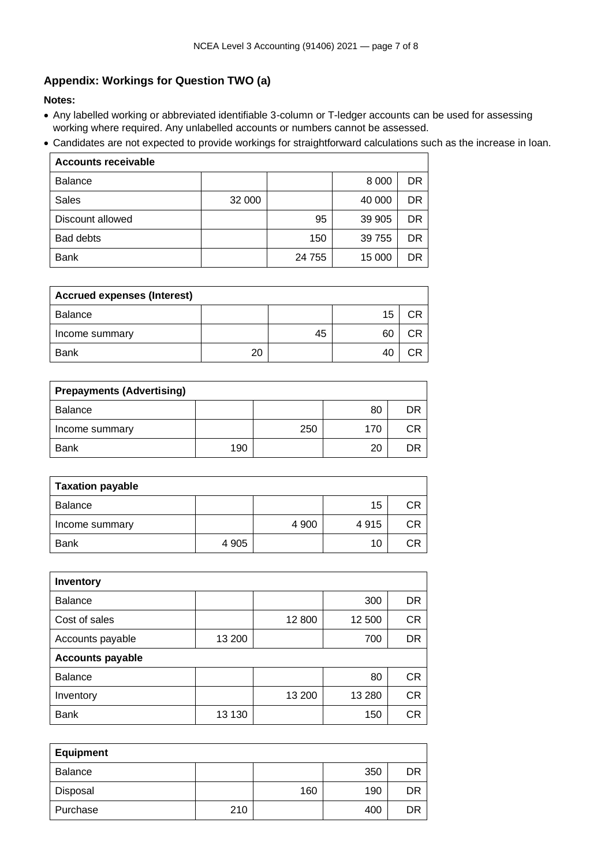# **Appendix: Workings for Question TWO (a)**

**Notes:**

- Any labelled working or abbreviated identifiable 3-column or T-ledger accounts can be used for assessing working where required. Any unlabelled accounts or numbers cannot be assessed.
- Candidates are not expected to provide workings for straightforward calculations such as the increase in loan.

| <b>Accounts receivable</b> |        |        |         |     |  |  |
|----------------------------|--------|--------|---------|-----|--|--|
| <b>Balance</b>             |        |        | 8 0 0 0 | DR  |  |  |
| <b>Sales</b>               | 32 000 |        | 40 000  | DR  |  |  |
| Discount allowed           |        | 95     | 39 905  | DR  |  |  |
| <b>Bad debts</b>           |        | 150    | 39 755  | DR. |  |  |
| Bank                       |        | 24 755 | 15 000  | DR  |  |  |

| <b>Accrued expenses (Interest)</b> |    |    |    |    |  |
|------------------------------------|----|----|----|----|--|
| Balance                            |    |    | 15 | םי |  |
| Income summary                     |    | 45 | 60 | םי |  |
| <b>Bank</b>                        | 20 |    | 40 |    |  |

| <b>Prepayments (Advertising)</b> |     |     |     |    |  |
|----------------------------------|-----|-----|-----|----|--|
| <b>Balance</b>                   |     |     | 80  | DR |  |
| Income summary                   |     | 250 | 170 | СR |  |
| <b>Bank</b>                      | 190 |     | 20  | DR |  |

| <b>Taxation payable</b> |         |         |      |    |  |
|-------------------------|---------|---------|------|----|--|
| <b>Balance</b>          |         |         | 15   | СR |  |
| Income summary          |         | 4 9 0 0 | 4915 | СR |  |
| <b>Bank</b>             | 4 9 0 5 |         | 10   | СR |  |

| Inventory               |        |        |        |           |  |
|-------------------------|--------|--------|--------|-----------|--|
| <b>Balance</b>          |        |        | 300    | DR        |  |
| Cost of sales           |        | 12 800 | 12 500 | <b>CR</b> |  |
| Accounts payable        | 13 200 |        | 700    | DR        |  |
| <b>Accounts payable</b> |        |        |        |           |  |
| <b>Balance</b>          |        |        | 80     | <b>CR</b> |  |
| Inventory               |        | 13 200 | 13 280 | СR        |  |
| <b>Bank</b>             | 13 130 |        | 150    | СR        |  |

| <b>Equipment</b> |     |     |     |    |
|------------------|-----|-----|-----|----|
| Balance          |     |     | 350 | DR |
| Disposal         |     | 160 | 190 | DR |
| Purchase         | 210 |     | 400 | DR |